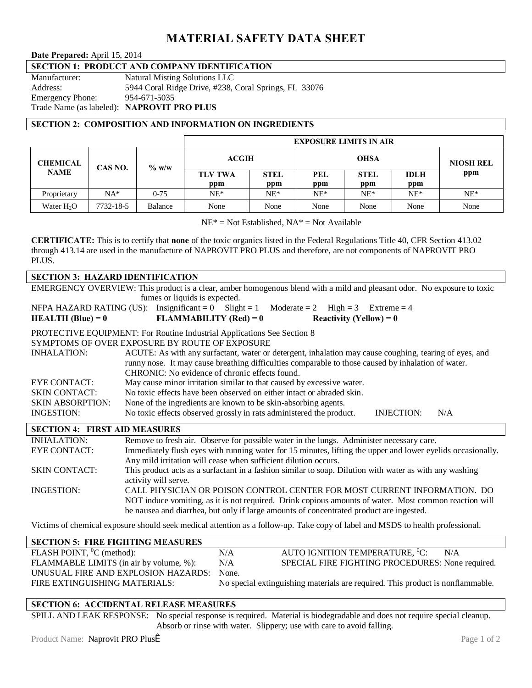# **MATERIAL SAFETY DATA SHEET**

**Date Prepared:** April 15, 2014

# **SECTION 1: PRODUCT AND COMPANY IDENTIFICATION**

| Manufacturer:           | Natural Misting Solutions LLC                         |
|-------------------------|-------------------------------------------------------|
| Address:                | 5944 Coral Ridge Drive, #238, Coral Springs, FL 33076 |
| <b>Emergency Phone:</b> | 954-671-5035                                          |
|                         | Trade Name (as labeled): NAPROVIT PRO PLUS            |

## **SECTION 2: COMPOSITION AND INFORMATION ON INGREDIENTS**

|                                |           |          | <b>EXPOSURE LIMITS IN AIR</b> |             |             |             |             |                  |
|--------------------------------|-----------|----------|-------------------------------|-------------|-------------|-------------|-------------|------------------|
| <b>CHEMICAL</b><br><b>NAME</b> | CAS NO.   | $\%$ w/w | ACGIH                         |             | <b>OHSA</b> |             |             | <b>NIOSH REL</b> |
|                                |           |          | <b>TLV TWA</b>                | <b>STEL</b> | PEL         | <b>STEL</b> | <b>IDLH</b> | ppm              |
|                                |           |          | ppm                           | ppm         | ppm         | ppm         | ppm         |                  |
| Proprietary                    | $NA*$     | $0 - 75$ | $NE^*$                        | $NE*$       | $NE^*$      | $NE^*$      | $NE^*$      | $NE^*$           |
| Water $H2O$                    | 7732-18-5 | Balance  | None                          | None        | None        | None        | None        | None             |

 $NE^*$  = Not Established,  $NA^*$  = Not Available

**CERTIFICATE:** This is to certify that **none** of the toxic organics listed in the Federal Regulations Title 40, CFR Section 413.02 through 413.14 are used in the manufacture of NAPROVIT PRO PLUS and therefore, are not components of NAPROVIT PRO PLUS.

| <b>SECTION 3: HAZARD IDENTIFICATION</b>                                                                                 |                                                                                                                               |  |  |  |  |  |
|-------------------------------------------------------------------------------------------------------------------------|-------------------------------------------------------------------------------------------------------------------------------|--|--|--|--|--|
| EMERGENCY OVERVIEW: This product is a clear, amber homogenous blend with a mild and pleasant odor. No exposure to toxic |                                                                                                                               |  |  |  |  |  |
| fumes or liquids is expected.                                                                                           |                                                                                                                               |  |  |  |  |  |
| NFPA HAZARD RATING (US): Insignificant = 0 Slight = 1 Moderate = 2 High = 3 Extreme = 4                                 |                                                                                                                               |  |  |  |  |  |
| <b>HEALTH</b> (Blue) = $0$                                                                                              | <b>FLAMMABILITY</b> (Red) = $0$<br>Reactivity (Yellow) = $0$                                                                  |  |  |  |  |  |
|                                                                                                                         | PROTECTIVE EQUIPMENT: For Routine Industrial Applications See Section 8                                                       |  |  |  |  |  |
|                                                                                                                         | SYMPTOMS OF OVER EXPOSURE BY ROUTE OF EXPOSURE                                                                                |  |  |  |  |  |
| <b>INHALATION:</b>                                                                                                      | ACUTE: As with any surfactant, water or detergent, inhalation may cause coughing, tearing of eyes, and                        |  |  |  |  |  |
| runny nose. It may cause breathing difficulties comparable to those caused by inhalation of water.                      |                                                                                                                               |  |  |  |  |  |
|                                                                                                                         | CHRONIC: No evidence of chronic effects found.                                                                                |  |  |  |  |  |
| EYE CONTACT:                                                                                                            | May cause minor irritation similar to that caused by excessive water.                                                         |  |  |  |  |  |
| <b>SKIN CONTACT:</b>                                                                                                    | No toxic effects have been observed on either intact or abraded skin.                                                         |  |  |  |  |  |
| <b>SKIN ABSORPTION:</b>                                                                                                 | None of the ingredients are known to be skin-absorbing agents.                                                                |  |  |  |  |  |
| INGESTION:                                                                                                              | No toxic effects observed grossly in rats administered the product.<br><b>INJECTION:</b><br>N/A                               |  |  |  |  |  |
| <b>SECTION 4: FIRST AID MEASURES</b>                                                                                    |                                                                                                                               |  |  |  |  |  |
| <b>INHALATION:</b>                                                                                                      | Remove to fresh air. Observe for possible water in the lungs. Administer necessary care.                                      |  |  |  |  |  |
| <b>EYE CONTACT:</b>                                                                                                     | Immediately flush eyes with running water for 15 minutes, lifting the upper and lower eyelids occasionally.                   |  |  |  |  |  |
|                                                                                                                         | Any mild irritation will cease when sufficient dilution occurs.                                                               |  |  |  |  |  |
| <b>SKIN CONTACT:</b>                                                                                                    | This product acts as a surfactant in a fashion similar to soap. Dilution with water as with any washing                       |  |  |  |  |  |
|                                                                                                                         | activity will serve.                                                                                                          |  |  |  |  |  |
| <b>INGESTION:</b>                                                                                                       | CALL PHYSICIAN OR POISON CONTROL CENTER FOR MOST CURRENT INFORMATION. DO                                                      |  |  |  |  |  |
| NOT induce vomiting, as it is not required. Drink copious amounts of water. Most common reaction will                   |                                                                                                                               |  |  |  |  |  |
|                                                                                                                         | be nausea and diarrhea, but only if large amounts of concentrated product are ingested.                                       |  |  |  |  |  |
|                                                                                                                         | Victime of chamical exposure should seek medical ettention as a follow up. Take conv of label and MSDS to health professional |  |  |  |  |  |

Victims of chemical exposure should seek medical attention as a follow-up. Take copy of label and MSDS to health professional.

| <b>SECTION 5: FIRE FIGHTING MEASURES</b> |       |                                                                                |
|------------------------------------------|-------|--------------------------------------------------------------------------------|
| FLASH POINT, ${}^0C$ (method):           | N/A   | AUTO IGNITION TEMPERATURE, <sup>0</sup> C:<br>N/A                              |
| FLAMMABLE LIMITS (in air by volume, %):  | N/A   | SPECIAL FIRE FIGHTING PROCEDURES: None required.                               |
| UNUSUAL FIRE AND EXPLOSION HAZARDS:      | None. |                                                                                |
| FIRE EXTINGUISHING MATERIALS:            |       | No special extinguishing materials are required. This product is nonflammable. |

## **SECTION 6: ACCIDENTAL RELEASE MEASURES**

SPILL AND LEAK RESPONSE: No special response is required. Material is biodegradable and does not require special cleanup. Absorb or rinse with water. Slippery; use with care to avoid falling.